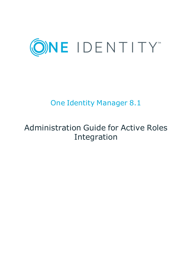

# One Identity Manager 8.1

# Administration Guide for Active Roles Integration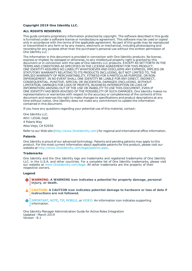#### **Copyright 2019 One Identity LLC.**

#### **ALL RIGHTS RESERVED.**

This guide contains proprietary information protected by copyright. The software described in this guide is furnished under a software license or nondisclosure agreement. This software may be used or copied only in accordance with the terms of the applicable agreement. No part of this guide may be reproduced or transmitted in any form or by any means, electronic or mechanical, including photocopying and recording for any purpose other than the purchaser's personal use without the written permission of One Identity LLC .

The information in this document is provided in connection with One Identity products. No license, express or implied, by estoppel or otherwise, to any intellectual property right is granted by this document or in connection with the sale of One Identity LLC products. EXCEPT AS SET FORTH IN THE TERMS AND CONDITIONS AS SPECIFIED IN THE LICENSE AGREEMENT FOR THIS PRODUCT, ONE IDENTITY ASSUMES NO LIABILITY WHATSOEVER AND DISCLAIMS ANY EXPRESS, IMPLIED OR STATUTORY WARRANTY RELATING TO ITS PRODUCTS INCLUDING, BUT NOT LIMITED TO, THE IMPLIED WARRANTY OF MERCHANTABILITY, FITNESS FOR A PARTICULAR PURPOSE, OR NON-INFRINGEMENT. IN NO EVENT SHALL ONE IDENTITY BE LIABLE FOR ANY DIRECT, INDIRECT, CONSEQUENTIAL, PUNITIVE, SPECIAL OR INCIDENTAL DAMAGES (INCLUDING, WITHOUT LIMITATION, DAMAGES FOR LOSS OF PROFITS, BUSINESS INTERRUPTION OR LOSS OF INFORMATION) ARISING OUT OF THE USE OR INABILITY TO USE THIS DOCUMENT, EVEN IF ONE IDENTITY HAS BEEN ADVISED OF THE POSSIBILITY OF SUCH DAMAGES. One Identity makes no representations or warranties with respect to the accuracy or completeness of the contents of this document and reserves the right to make changes to specifications and product descriptions at any time without notice. One Identity does not make any commitment to update the information contained in this document.

If you have any questions regarding your potential use of this material, contact:

One Identity LLC. Attn: LEGAL Dept 4 Polaris Way Aliso Viejo, CA 92656

Refer to our Web site ([http://www.OneIdentity.com](http://www.oneidentity.com/)) for regional and international office information.

#### **Patents**

One Identity is proud of our advanced technology. Patents and pending patents may apply to this product. For the most current information about applicable patents for this product, please visit our website at [http://www.OneIdentity.com/legal/patents.aspx](http://www.oneidentity.com/legal/patents.aspx).

#### **Trademarks**

One Identity and the One Identity logo are trademarks and registered trademarks of One Identity LLC. in the U.S.A. and other countries. For a complete list of One Identity trademarks, please visit our website at [www.OneIdentity.com/legal](http://www.oneidentity.com/legal). All other trademarks are the property of their respective owners.

#### **Legend**

- **WARNING: A WARNING icon indicates a potential for property damage, personal injury, or death.**
- **CAUTION: A CAUTION icon indicates potential damage to hardware or loss of data if instructions are not followed.**
- IMPORTANT, NOTE, TIP, MOBILE, or VIDEO: An information icon indicates supporting Œ information.

One Identity Manager Administration Guide for Active Roles Integration Updated - March 2019 Version - 8.1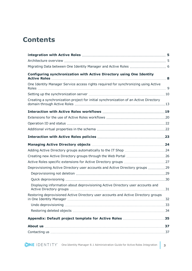## **Contents**

| Configuring synchronization with Active Directory using One Identity                  |  |
|---------------------------------------------------------------------------------------|--|
| One Identity Manager Service access rights required for synchronizing using Active    |  |
|                                                                                       |  |
| Creating a synchronization project for initial synchronization of an Active Directory |  |
|                                                                                       |  |
|                                                                                       |  |
|                                                                                       |  |
|                                                                                       |  |
|                                                                                       |  |
|                                                                                       |  |
|                                                                                       |  |
|                                                                                       |  |
|                                                                                       |  |
| Deprovisioning Active Directory user accounts and Active Directory groups 29          |  |
|                                                                                       |  |
|                                                                                       |  |
| Displaying information about deprovisioning Active Directory user accounts and        |  |
| Restoring deprovisioned Active Directory user accounts and Active Directory groups    |  |
|                                                                                       |  |
|                                                                                       |  |
| Appendix: Default project template for Active Roles 35                                |  |
|                                                                                       |  |
|                                                                                       |  |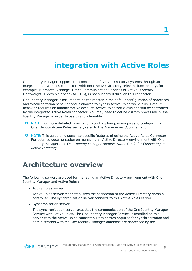## **integration with Active Roles**

<span id="page-4-0"></span>One Identity Manager supports the connection of Active Directory systems through an integrated Active Roles connector. Additional Active Directory relevant functionality, for example, Microsoft Exchange, Office Communication Services or Active Directory Lightweight Directory Service (AD LDS), is not supported through this connector.

One Identity Manager is assumed to be the master in the default configuration of processes and synchronization behavior and is allowed to bypass Active Roles workflows. Default behavior requires an administrative account. Active Roles workflows can still be controlled by the integrated Active Roles connector. You may need to define custom processes in One Identity Manager in order to use this functionality.

- 6 NOTE: For more detailed information about applying, managing and configuring a One Identity Active Roles server, refer to the *Active Roles documentation*.
- 6 NOTE: This guide only goes into specific features of using the Active Roles Connector. For detailed documentation on managing an Active Directory environment with One Identity Manager, see *One Identity Manager Administration Guide for Connecting to Active Directory*.

## <span id="page-4-1"></span>**Architecture overview**

The following servers are used for managing an Active Directory environment with One Identity Manager and Active Roles:

**Active Roles server** 

Active Roles server that establishes the connection to the Active Directory domain controller. The synchronization server connects to this Active Roles server.

• Synchronization server

The synchronization server executes the communication of the One Identity Manager Service with Active Roles. The One Identity Manager Service is installed on this server with the Active Roles connector. Data entries required for synchronization and administration with the One Identity Manager database are processed by the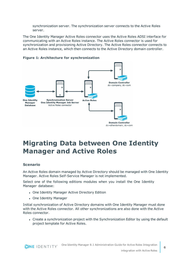synchronization server. The synchronization server connects to the Active Roles server.

The One Identity Manager Active Roles connector uses the Active Roles ADSI interface for communicating with an Active Roles instance. The Active Roles connector is used for synchronization and provisioning Active Directory. The Active Roles connector connects to an Active Roles instance, which then connects to the Active Directory domain controller.



#### **Figure 1: Architecture for synchronization**

## <span id="page-5-0"></span>**Migrating Data between One Identity Manager and Active Roles**

#### **Scenario**

An Active Roles domain managed by Active Directory should be managed with One Identity Manager. Active Roles Self-Service Manager is not implemented.

Select one of the following editions modules when you install the One Identity Manager database:

- One Identity Manager Active Directory Edition
- One Identity Manager

Initial synchronization of Active Directory domains with One Identity Manager must done with the Active Roles connector. All other synchronizations are also done with the Active Roles connector.

• Create a synchronization project with the Synchronization Editor by using the default project template for Active Roles.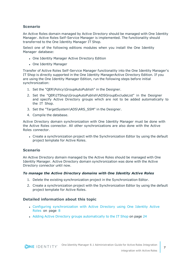#### **Scenario**

An Active Roles domain managed by Active Directory should be managed with One Identity Manager. Active Roles Self-Service Manager is implemented. The functionality should transferred to the One Identity Manager IT Shop.

Select one of the following editions modules when you install the One Identity Manager database:

- One Identity Manager Active Directory Edition
- One Identity Manager

Transfer of Active Roles Self-Service Manager functionality into the One Identity Manager's IT Shop is directly supported in the One Identity ManagerActive Directory Edition. If you are using the One Identity Manager Edition, run the following steps before initial synchronization:

- 1. Set the "QER\Policy\GroupAutoPublish" in the Designer.
- 2. Set the "QER\ITShop\GroupAutoPublish\ADSGroupExcludeList" in the Designer and specify Active Directory groups which are not to be added automatically to the IT Shop.
- 3. Set the "TargetSystem\ADS\ARS\_SSM" in the Designer.
- 4. Compile the database.

Active Directory domain synchronization with One Identity Manager must be done with the Active Roles connector. All other synchronizations are also done with the Active Roles connector.

• Create a synchronization project with the Synchronization Editor by using the default project template for Active Roles.

#### **Scenario**

An Active Directory domain managed by the Active Roles should be managed with One Identity Manager. Active Directory domain synchronization was done with the Active Directory connector until now.

#### *To manage the Active Directory domains with One Identity Active Roles*

- 1. Delete the existing synchronization project in the Synchronization Editor.
- 2. Create a synchronization project with the Synchronization Editor by using the default project template for Active Roles.

#### **Detailed information about this topic**

- Configuring [synchronization](#page-7-0) with Active Directory using One Identity Active [Roles](#page-7-0) on page 8
- Adding Active Directory groups [automatically](#page-23-1) to the IT Shop on page 24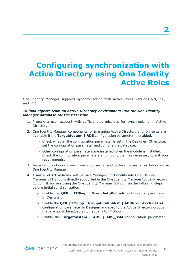# <span id="page-7-0"></span>**Configuring synchronization with Active Directory using One Identity Active Roles**

One Identity Manager supports synchronization with Active Roles versions 6.9, 7.0, and 7.2.

#### *To load objects from an Active Directory environment into the One Identity Manager database for the first time*

- 1. Prepare a user account with sufficient permissions for synchronizing in Active Directory.
- 2. One Identity Manager components for managing Active Directory environments are available if the **TargetSystem | ADS** configuration parameter is enabled.
	- Check whether the configuration parameter is set in the Designer. Otherwise, set the configuration parameter and compile the database.
	- Other configuration parameters are installed when the module is installed. Check the configuration parameters and modify them as necessary to suit your requirements.
- 3. Install and configure a synchronization server and declare the server as Job server in One Identity Manager.
- 4. Transfer of Active Roles Self-Service Manager functionality into One Identity Manager's IT Shop is directly supported in the One Identity ManagerActive Directory Edition. If you are using the One Identity Manager Edition, run the following steps before initial synchronization:
	- a. Enable the **QER | ITShop | GroupAutoPublish** configuration parameter in Designer.
	- b. Enable the **QER | ITShop | GroupAutoPublish | ADSGroupExcludeList** configuration parameter in Designer and specify the Active Directory groups that are not to be added automatically to IT Shop.
	- c. Enable the **TargetSystem | ADS | ARS\_SSM** configuration parameter

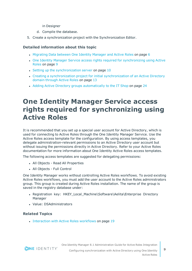- in Designer
- d. Compile the database.
- 5. Create a synchronization project with the Synchronization Editor.

#### **Detailed information about this topic**

- [Migrating](#page-5-0) Data between One Identity Manager and Active Roles on page 6
- One Identity Manager Service access rights required for [synchronizing](#page-8-0) using Active [Roles](#page-8-0) on page 9
- $\cdot$  Setting up the [synchronization](#page-9-0) server on page 10
- Creating a [synchronization](#page-12-0) project for initial synchronization of an Active Directory domain [through](#page-12-0) Active Roles on page 13
- <span id="page-8-0"></span>• Adding Active Directory groups [automatically](#page-23-1) to the IT Shop on page 24

## **One Identity Manager Service access rights required for synchronizing using Active Roles**

It is recommended that you set up a special user account for Active Directory, which is used for connecting to Active Roles through the One Identity Manager Service. Use the Active Roles access template for the configuration. By using access templates, you delegate administration-relevant permissions to an Active Directory user account but without issuing the permissions directly in Active Directory. Refer to your Active Roles documentation for more information about One Identity Active Roles access templates.

The following access templates are suggested for delegating permissions:

- All Objects Read All Properties
- All Objects Full Control

One Identity Manager works without controlling Active Roles workflows. To avoid existing Active Roles workflows, you must add the user account to the Active Roles administrators group. This group is created during Active Roles installation. The name of the group is saved in the registry database under:

- Registration key: HKEY\_Local\_Machine\Software\Aelita\Enterprise Directory Manager
- Value: DSAdministrators

#### **Related Topics**

• [Interaction](#page-18-0) with Active Roles workflows on page 19

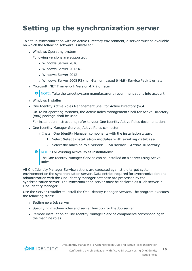## <span id="page-9-0"></span>**Setting up the synchronization server**

To set up synchronization with an Active Directory environment, a server must be available on which the following software is installed:

• Windows Operating system

Following versions are supported:

- Windows Server 2016
- Windows Server 2012 R2
- Windows Server 2012
- Windows Server 2008 R2 (non-Itanium based 64-bit) Service Pack 1 or later
- Microsoft .NET Framework Version 4.7.2 or later

**O** NOTE: Take the target system manufacturer's recommendations into account.

- Windows Installer
- One Identity Active Roles Management Shell for Active Directory (x64)

On 32-bit operating systems, the Active Roles Management Shell for Active Directory (x86) package shall be used.

For installation instructions, refer to your One Identity Active Roles documentation.

- One Identity Manager Service, Active Roles connector
	- Install One Identity Manager components with the installation wizard.
		- 1. Select **Select installation modules with existing database**.
		- 2. Select the machine role **Server | Job server | Active Directory**.
	- NOTE: For existing Active Roles installations:

The One Identity Manager Service can be installed on a server using Active Roles.

All One Identity Manager Service actions are executed against the target system environment on the synchronization server. Data entries required for synchronization and administration with the One Identity Manager database are processed by the synchronization server. The synchronization server must be declared as a Job server in One Identity Manager.

Use the Server Installer to install the One Identity Manager Service. The program executes the following steps:

- Setting up a Job server.
- Specifying machine roles and server function for the Job server.
- Remote installation of One Identity Manager Service components corresponding to the machine roles.

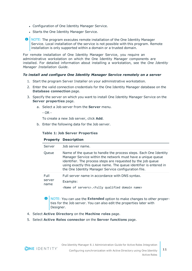- Configuration of One Identity Manager Service.
- Starts the One Identity Manager Service.
- **O** NOTE: The program executes remote installation of the One Identity Manager Service. Local installation of the service is not possible with this program. Remote installation is only supported within a domain or a trusted domain.

For remote installation of One Identity Manager Service, you require an administrative workstation on which the One Identity Manager components are installed. For detailed information about installing a workstation, see the *One Identity Manager Installation Guide*.

#### *To install and configure One Identity Manager Service remotely on a server*

- 1. Start the program Server Installer on your administrative workstation.
- 2. Enter the valid connection credentials for the One Identity Manager database on the **Database connection** page.
- 3. Specify the server on which you want to install One Identity Manager Service on the **Server properties** page.
	- a. Select a Job server from the **Server** menu.

 $-$  OR  $-$ 

To create a new Job server, click **Add**.

b. Enter the following data for the Job server.

#### **Table 1: Job Server Properties**

#### **Property Description**

| Server                 | Job server name.                                                                                                                                                                                                                                                                                                             |
|------------------------|------------------------------------------------------------------------------------------------------------------------------------------------------------------------------------------------------------------------------------------------------------------------------------------------------------------------------|
| Queue                  | Name of the queue to handle the process steps. Each One Identity<br>Manager Service within the network must have a unique queue<br>identifier. The process steps are requested by the job queue<br>using exactly this queue name. The queue identifier is entered in<br>the One Identity Manager Service configuration file. |
| Full<br>server<br>name | Full server name in accordance with DNS syntax.<br>Example:<br><name of="" servers="">.<fully domain="" name="" qualified=""></fully></name>                                                                                                                                                                                 |

**O** NOTE: You can use the **Extended** option to make changes to other properties for the Job server. You can also edit the properties later with Designer.

- 4. Select **Active Directory** on the **Machine roles** page.
- 5. Select **Active Roles connector** on the **Server functions** page.

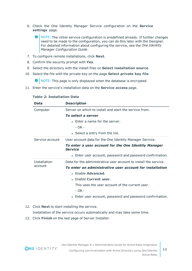- 6. Check the One Identity Manager Service configuration on the **Service settings** page.
	- $\bigcap$  NOTE: The initial service configuration is predefined already. If further changes need to be made to the configuration, you can do this later with the Designer. For detailed information about configuring the service, see the *One Identity Manager Configuration Guide*.
- 7. To configure remote installations, click **Next**.
- 8. Confirm the security prompt with **Yes**.
- 9. Select the directory with the install files on **Select installation source**.
- 10. Select the file with the private key on the page **Select private key file**.

**O** NOTE: This page is only displayed when the database is encrypted.

11. Enter the service's installation data on the **Service access** page.

| Data            | <b>Description</b>                                                     |
|-----------------|------------------------------------------------------------------------|
| Computer        | Server on which to install and start the service from.                 |
|                 | To select a server                                                     |
|                 | $\bullet$ Enter a name for the server.                                 |
|                 | $- OR -$                                                               |
|                 | • Select a entry from the list.                                        |
| Service account | User account data for the One Identity Manager Service.                |
|                 | To enter a user account for the One Identity Manager<br><b>Service</b> |
|                 | • Enter user account, password and password confirmation.              |
| Installation    | Data for the administrative user account to install the service.       |
| account         | To enter an administrative user account for installation               |
|                 | • Enable Advanced.                                                     |
|                 | • Enable Current user.                                                 |
|                 | This uses the user account of the current user.                        |
|                 | $- OR -$                                                               |
|                 | • Enter user account, password and password confirmation.              |

#### **Table 2: Installation Data**

12. Click **Next** to start installing the service.

Installation of the service occurs automatically and may take some time.

13. Click **Finish** on the last page of Server Installer.

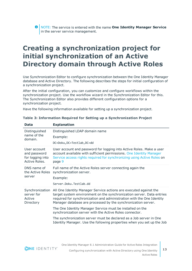NOTE: The service is entered with the name **One Identity Manager Service** in the server service management.

## <span id="page-12-0"></span>**Creating a synchronization project for initial synchronization of an Active Directory domain through Active Roles**

Use Synchronization Editor to configure synchronization between the One Identity Manager database and Active Directory. The following describes the steps for initial configuration of a synchronization project.

After the initial configuration, you can customize and configure workflows within the synchronization project. Use the workflow wizard in the Synchronization Editor for this. The Synchronization Editor also provides different configuration options for a synchronization project.

Have the following information available for setting up a synchronization project.

| <b>Data</b>                                                       | <b>Explanation</b>                                                                                                                                                                                                                                                                   |
|-------------------------------------------------------------------|--------------------------------------------------------------------------------------------------------------------------------------------------------------------------------------------------------------------------------------------------------------------------------------|
| Distinguished<br>name of the<br>domain.                           | Distinguished LDAP domain name                                                                                                                                                                                                                                                       |
|                                                                   | Example:                                                                                                                                                                                                                                                                             |
|                                                                   | DC=Doku, DC=Testlab, DC=dd                                                                                                                                                                                                                                                           |
| User account<br>and password<br>for logging into<br>Active Roles. | User account and password for logging into Active Roles. Make a user<br>account available with sufficient permissions. One Identity Manager<br>Service access rights required for synchronizing using Active Roles on<br>page 9                                                      |
| DNS name of<br>the Active Roles<br>server                         | Full name of the Active Roles server connecting again the<br>synchronization server.<br>Example:                                                                                                                                                                                     |
|                                                                   | Server.Doku.Testlab.dd                                                                                                                                                                                                                                                               |
| Synchronization<br>server for<br>Active<br>Directory              | All One Identity Manager Service actions are executed against the<br>target system environment on the synchronization server. Data entries<br>required for synchronization and administration with the One Identity<br>Manager database are processed by the synchronization server. |
|                                                                   |                                                                                                                                                                                                                                                                                      |
|                                                                   | The One Identity Manager Service must be installed on the<br>synchronization server with the Active Roles connector.                                                                                                                                                                 |
|                                                                   | The synchronization server must be declared as a Job server in One<br>Identity Manager. Use the following properties when you set up the Job                                                                                                                                         |

#### **Table 3: Information Required for Setting up a Synchronization Project**

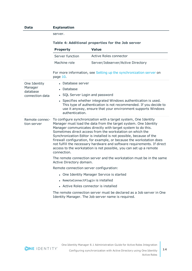| <b>Data</b>                   | <b>Explanation</b>                                                                                                                                                                                                                                                                                                                                                                                                                                                                                                                                                             |                                   |  |
|-------------------------------|--------------------------------------------------------------------------------------------------------------------------------------------------------------------------------------------------------------------------------------------------------------------------------------------------------------------------------------------------------------------------------------------------------------------------------------------------------------------------------------------------------------------------------------------------------------------------------|-----------------------------------|--|
|                               | server.                                                                                                                                                                                                                                                                                                                                                                                                                                                                                                                                                                        |                                   |  |
|                               | Table 4: Additional properties for the Job server                                                                                                                                                                                                                                                                                                                                                                                                                                                                                                                              |                                   |  |
|                               | <b>Property</b>                                                                                                                                                                                                                                                                                                                                                                                                                                                                                                                                                                | <b>Value</b>                      |  |
|                               | Server function                                                                                                                                                                                                                                                                                                                                                                                                                                                                                                                                                                | Active Roles connector            |  |
|                               | Machine role                                                                                                                                                                                                                                                                                                                                                                                                                                                                                                                                                                   | Server/Jobserver/Active Directory |  |
|                               | For more information, see Setting up the synchronization server on<br>page 10.                                                                                                                                                                                                                                                                                                                                                                                                                                                                                                 |                                   |  |
| One Identity                  | • Database server                                                                                                                                                                                                                                                                                                                                                                                                                                                                                                                                                              |                                   |  |
| Manager<br>database           | • Database                                                                                                                                                                                                                                                                                                                                                                                                                                                                                                                                                                     |                                   |  |
| connection data               | • SQL Server Login and password                                                                                                                                                                                                                                                                                                                                                                                                                                                                                                                                                |                                   |  |
|                               | • Specifies whether integrated Windows authentication is used.<br>This type of authentication is not recommended. If you decide to<br>use it anyway, ensure that your environment supports Windows<br>authentication.                                                                                                                                                                                                                                                                                                                                                          |                                   |  |
| Remote connec-<br>tion server | To configure synchronization with a target system, One Identity<br>Manager must load the data from the target system. One Identity<br>Manager communicates directly with target system to do this.<br>Sometimes direct access from the workstation on which the<br>Synchronization Editor is installed is not possible, because of the<br>firewall configuration, for example, or because the workstation does<br>not fulfill the necessary hardware and software requirements. If direct<br>access to the workstation is not possible, you can set up a remote<br>connection. |                                   |  |
|                               | The remote connection server and the workstation must be in the same<br>Active Directory domain.                                                                                                                                                                                                                                                                                                                                                                                                                                                                               |                                   |  |
|                               | Remote connection server configuration:                                                                                                                                                                                                                                                                                                                                                                                                                                                                                                                                        |                                   |  |
|                               | • One Identity Manager Service is started                                                                                                                                                                                                                                                                                                                                                                                                                                                                                                                                      |                                   |  |
|                               | RemoteConnectPlugin is installed                                                                                                                                                                                                                                                                                                                                                                                                                                                                                                                                               |                                   |  |
|                               | • Active Roles connector is installed                                                                                                                                                                                                                                                                                                                                                                                                                                                                                                                                          |                                   |  |
|                               | The remote connection server must be declared as a Job server in One<br>Identity Manager. The Job server name is required.                                                                                                                                                                                                                                                                                                                                                                                                                                                     |                                   |  |

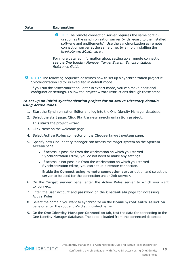$\bullet$ TIP: The remote connection server requires the same configuration as the synchronization server (with regard to the installed software and entitlements). Use the synchronization as remote connection server at the same time, by simply installing the RemoteConnectPlugin as well.

For more detailed information about setting up a remote connection, see the *One Identity Manager Target System Synchronization Reference Guide*.

NOTE: The following sequence describes how to set up a synchronization project if Synchronization Editor is executed in default mode.

If you run the Synchronization Editor in export mode, you can make additional configuration settings. Follow the project wizard instructions through these steps.

#### *To set up an initial synchronization project for an Active Directory domain using Active Roles.*

- 1. Start the Synchronization Editor and log into the One Identity Manager database.
- 2. Select the start page. Click **Start a new synchronization project**. This starts the project wizard.
- 3. Click **Next** on the welcome page.
- 4. Select **Active Roles** connector on the **Choose target system** page.
- 5. Specify how One Identity Manager can access the target system on the **System access** page.
	- If access is possible from the workstation on which you started Synchronization Editor, you do not need to make any settings.
	- If access is not possible from the workstation on which you started Synchronization Editor, you can set up a remote connection.

Enable the **Connect using remote connection server** option and select the server to be used for the connection under **Job server**.

- 6. On the **Target server** page, enter the Active Roles server to which you want to connect.
- 7. Enter the user account and password on the **Credentials** page for accessing Active Roles.
- 8. Select the domain you want to synchronize on the **Domain/root entry selection** page or enter the root entry's distinguished name.
- 9. On the **One Identity Manager Connection** tab, test the data for connecting to the One Identity Manager database. The data is loaded from the connected database.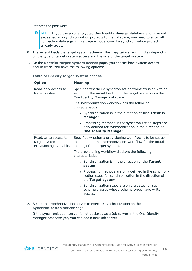Reenter the password.

- $\bullet$ NOTE: If you use an unencrypted One Identity Manager database and have not yet saved any synchronization projects to the database, you need to enter all connection data again. This page is not shown if a synchronization project already exists.
- 10. The wizard loads the target system schema. This may take a few minutes depending on the type of target system access and the size of the target system.
- 11. On the **Restrict target system access** page, you specify how system access should work. You have the following options:

| <b>Option</b>                                                     | <b>Meaning</b>                                                                                                                                               |
|-------------------------------------------------------------------|--------------------------------------------------------------------------------------------------------------------------------------------------------------|
| Read-only access to<br>target system.                             | Specifies whether a synchronization workflow is only to be<br>set up for the initial loading of the target system into the<br>One Identity Manager database. |
|                                                                   | The synchronization workflow has the following<br>characteristics:                                                                                           |
|                                                                   | • Synchronization is in the direction of One Identity<br>Manager.                                                                                            |
|                                                                   | Processing methods in the synchronization steps are<br>only defined for synchronization in the direction of<br><b>One Identity Manager</b>                   |
| Read/write access to<br>target system.<br>Provisioning available. | Specifies whether a provisioning workflow is to be set up<br>in addition to the synchronization workflow for the initial<br>loading of the target system.    |
|                                                                   | The provisioning workflow displays the following<br>characteristics:                                                                                         |
|                                                                   | • Synchronization is in the direction of the Target<br>system.                                                                                               |
|                                                                   | • Processing methods are only defined in the synchron-<br>ization steps for synchronization in the direction of<br>the Target system.                        |
|                                                                   | • Synchronization steps are only created for such<br>schema classes whose schema types have write<br>access.                                                 |

#### **Table 5: Specify target system access**

12. Select the synchronization server to execute synchronization on the **Synchronization server** page.

If the synchronization server is not declared as a Job server in the One Identity Manager database yet, you can add a new Job server.

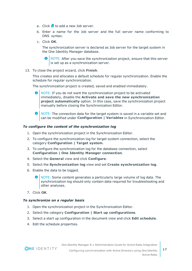- a. Click  $\mathbf{t}$  to add a new Job server.
- b. Enter a name for the Job server and the full server name conforming to DNS syntax.
- c. Click **OK**.

The synchronization server is declared as Job server for the target system in the One Identity Manager database.

**O** NOTE: After you save the synchronization project, ensure that this server is set up as a synchronization server.

13. To close the project wizard, click **Finish**.

This creates and allocates a default schedule for regular synchronization. Enable the schedule for regular synchronization.

The synchronization project is created, saved and enabled immediately.

- 0 NOTE: If you do not want the synchronization project to be activated immediately, disable the **Activate and save the new synchronization project automatically** option. In this case, save the synchronization project manually before closing the Synchronization Editor.
- **O** NOTE: The connection data for the target system is saved in a variable set and can be modified under **Configuration | Variables** in Synchronization Editor.

#### *To configure the content of the synchronization log*

- 1. Open the synchronization project in the Synchronization Editor.
- 2. To configure the synchronization log for target system connection, select the category **Configuration | Target system**.
- 3. To configure the synchronization log for the database connection, select **Configuration | One Identity Manager connection**.
- 4. Select the **General** view and click **Configure**.
- 5. Select the **Synchronization log** view and set **Create synchronization log**.
- 6. Enable the data to be logged.
	- NOTE: Some content generates a particularly large volume of log data. The synchronization log should only contain data required for troubleshooting and other analyses.
- 7. Click **OK**.

#### *To synchronize on a regular basis*

- 1. Open the synchronization project in the Synchronization Editor.
- 2. Select the category **Configuration | Start up configurations**.
- 3. Select a start up configuration in the document view and click **Edit schedule**.
- 4. Edit the schedule properties.

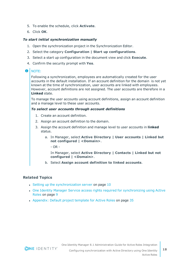- 5. To enable the schedule, click **Activate**.
- 6. Click **OK**.

#### *To start initial synchronization manually*

- 1. Open the synchronization project in the Synchronization Editor.
- 2. Select the category **Configuration | Start up configurations**.
- 3. Select a start up configuration in the document view and click **Execute**.
- 4. Confirm the security prompt with **Yes**.

#### **O** | NOTE:

Following a synchronization, employees are automatically created for the user accounts in the default installation. If an account definition for the domain is not yet known at the time of synchronization, user accounts are linked with employees. However, account definitions are not assigned. The user accounts are therefore in a **Linked** state.

To manage the user accounts using account definitions, assign an account definition and a manage level to these user accounts.

#### *To select user accounts through account definitions*

- 1. Create an account definition.
- 2. Assign an account definition to the domain.
- 3. Assign the account definition and manage level to user accounts in **linked** status.
	- a. In Manager, select **Active Directory | User accounts | Linked but not configured | <Domain>**.

 $- OR -$ 

In Manager, select **Active Directory | Contacts | Linked but not configured | <Domain>**.

b. Select **Assign account definition to linked accounts**.

#### **Related Topics**

- Setting up the [synchronization](#page-9-0) server on page  $10$
- One Identity Manager Service access rights required for [synchronizing](#page-8-0) using Active [Roles](#page-8-0) on page 9
- [Appendix:](#page-34-0) Default project template for Active Roles on page 35

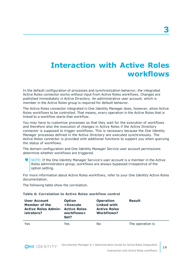## <span id="page-18-0"></span>**Interaction with Active Roles workflows**

In the default configuration of processes and synchronization behavior, the integrated Active Roles connector works without input from Active Roles workflows. Changes are published immediately in Active Directory. An administrative user account. which is member in the Active Roles group is required for default behavior.

The Active Roles connector integrated in One Identity Manager does, however, allow Active Roles workflows to be controlled. That means, every operation in the Active Roles that is linked to a workflow starts that workflow.

You may have to customize processes so that they wait for the execution of workflows and therefore also the execution of changes in Active Roles if the Active Directory connector is supposed to trigger workflows. This is necessary because the One Identity Manager processes defined in the Active Directory are executed synchronously. The Active Roles connector is provided with additional functions to support you when querying the status of workflows.

The domain configuration and One Identity Manager Service user account permissions determine whether workflows are triggered.

**O** NOTE: If the One Identity Manager Service's user account is a member in the Active Roles administrators group, workflows are always bypassed irrespective of the option setting.

For more information about Active Roles workflows, refer to your One Identity Active Roles documentation.

The following table show the correlation.

#### **Table 6: Correlation to Active Roles workflow control**

| <b>User Account</b><br>Member of the<br><b>Active Roles Admin-</b><br>istrators? | <b>Option</b><br><execute<br><b>Active Roles</b><br/>workflows&gt;<br/>Set?</execute<br> | <b>Operation</b><br><b>Linked with</b><br><b>Active Roles</b><br>Workflows? | <b>Result</b>    |
|----------------------------------------------------------------------------------|------------------------------------------------------------------------------------------|-----------------------------------------------------------------------------|------------------|
| Yes                                                                              | Yes                                                                                      | Nο                                                                          | The operation is |

**ONE IDENTITY**<sup>-</sup> One Identity Manager 8.1 Administration Guide for Active Roles Integration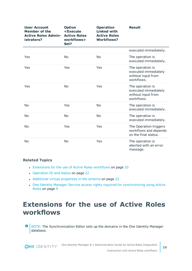| <b>User Account</b><br>Member of the<br><b>Active Roles Admin-</b><br>istrators? | <b>Option</b><br><execute<br><b>Active Roles</b><br/>workflows&gt;<br/>Set?</execute<br> | <b>Operation</b><br><b>Linked with</b><br><b>Active Roles</b><br><b>Workflows?</b> | <b>Result</b>                                                                |
|----------------------------------------------------------------------------------|------------------------------------------------------------------------------------------|------------------------------------------------------------------------------------|------------------------------------------------------------------------------|
|                                                                                  |                                                                                          |                                                                                    | executed immediately.                                                        |
| Yes                                                                              | <b>No</b>                                                                                | <b>No</b>                                                                          | The operation is<br>executed immediately.                                    |
| Yes                                                                              | Yes                                                                                      | Yes                                                                                | The operation is<br>executed immediately<br>without input from<br>workflows. |
| Yes                                                                              | <b>No</b>                                                                                | Yes                                                                                | The operation is<br>executed immediately<br>without input from<br>workflows. |
| <b>No</b>                                                                        | Yes                                                                                      | <b>No</b>                                                                          | The operation is<br>executed immediately.                                    |
| <b>No</b>                                                                        | <b>No</b>                                                                                | <b>No</b>                                                                          | The operation is<br>executed immediately.                                    |
| <b>No</b>                                                                        | Yes                                                                                      | Yes                                                                                | The Operation triggers<br>workflows and depends<br>on the final status.      |
| <b>No</b>                                                                        | <b>No</b>                                                                                | Yes                                                                                | The operation is<br>aborted with an error<br>message.                        |

#### **Related Topics**

- [Extensions](#page-19-0) for the use of Active Roles workflows on page 20
- [Operation](#page-21-0) ID and status on page 22
- Additional virtual [properties](#page-21-1) in the schema on page 22
- One Identity Manager Service access rights required for [synchronizing](#page-8-0) using Active [Roles](#page-8-0) on page 9

## <span id="page-19-0"></span>**Extensions for the use of Active Roles workflows**

NOTE: The Synchronization Editor sets up the domains in the One Identity Manager Œ database.

**ONE IDENTITY**<sup>®</sup> One Identity Manager 8.1 Administration Guide for Active Roles Integration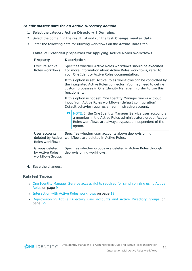#### *To edit master data for an Active Directory domain*

- 1. Select the category **Active Directory | Domains**.
- 2. Select the domain in the result list and run the task **Change master data**.
- 3. Enter the following data for utilizing workflows on the **Active Roles** tab.

#### **Table 7: Extended properties for applying Active Roles workflows**

| <b>Property</b>                                       |                                                                                                                                                                              | <b>Description</b>                                                                                                                                                                                                     |
|-------------------------------------------------------|------------------------------------------------------------------------------------------------------------------------------------------------------------------------------|------------------------------------------------------------------------------------------------------------------------------------------------------------------------------------------------------------------------|
| Execute Active<br>Roles workflows                     | Specifies whether Active Roles workflows should be executed.<br>For more information about Active Roles workflows, refer to<br>your One Identity Active Roles documentation. |                                                                                                                                                                                                                        |
|                                                       |                                                                                                                                                                              | If this option is set, Active Roles workflows can be controlled by<br>the integrated Active Roles connector. You may need to define<br>custom processes in One Identity Manager in order to use this<br>functionality. |
|                                                       |                                                                                                                                                                              | If this option is not set, One Identity Manager works without<br>input from Active Roles workflows (default configuration).<br>Default behavior requires an administrative account.                                    |
|                                                       |                                                                                                                                                                              | <b>O</b> NOTE: If the One Identity Manager Service user account is<br>a member in the Active Roles administrators group, Active<br>Roles workflows are always bypassed independent of the<br>option.                   |
| User accounts<br>deleted by Active<br>Roles workflows | Specifies whether user accounts above deprovisioning<br>workflows are deleted in Active Roles.                                                                               |                                                                                                                                                                                                                        |
| Groups deleted<br>by Active Roles<br>workflowsGroups  | Specifies whether groups are deleted in Active Roles through<br>deprovisioning workflows.                                                                                    |                                                                                                                                                                                                                        |

4. Save the changes.

#### **Related Topics**

- One Identity Manager Service access rights required for [synchronizing](#page-8-0) using Active [Roles](#page-8-0) on page 9
- [Interaction](#page-18-0) with Active Roles workflows on page 19
- [Deprovisioning](#page-28-0) Active Directory user accounts and Active Directory groups on [page](#page-28-0) 29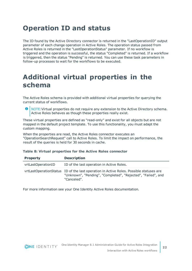## <span id="page-21-0"></span>**Operation ID and status**

The ID found by the Active Directory connector is returned in the "LastOperationID" output parameter of each change operation in Active Roles. The operation status passed from Active Roles is returned in the "LastOperationStatus" parameter. If no workflow is triggered and the operation is successful, the status "Completed" is returned. If a workflow is triggered, then the status "Pending" is returned. You can use these task parameters in follow-up processes to wait for the workflows to be executed.

## <span id="page-21-1"></span>**Additional virtual properties in the schema**

The Active Roles schema is provided with additional virtual properties for querying the current status of workflows.

**O** NOTE: Virtual properties do not require any extension to the Active Directory schema. Active Roles behaves as though these properties really exist.

These virtual properties are defined as "read-only" and exist for all objects but are not mapped in the default project template. To use this functionality, you must adapt the custom mapping.

When the properties are read, the Active Roles connector executes an "OperationSearchRequest" call to Active Roles. To limit the impact on performance, the result of the queries is held for 30 seconds in cache.

#### **Table 8: Virtual properties for the Active Roles connector**

| <b>Property</b>    | <b>Description</b>                                                                                                                                                    |
|--------------------|-----------------------------------------------------------------------------------------------------------------------------------------------------------------------|
| vrtLastOperationID | ID of the last operation in Active Roles.                                                                                                                             |
|                    | vrtLastOperationStatus ID of the last operation in Active Roles. Possible statuses are<br>"Unknown", "Pending", "Completed", "Rejected", "Failed", and<br>"Canceled". |

For more information see your One Identity Active Roles documentation.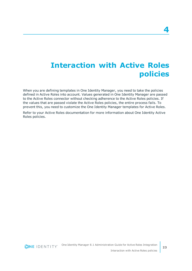## <span id="page-22-0"></span>**Interaction with Active Roles policies**

When you are defining templates in One Identity Manager, you need to take the policies defined in Active Roles into account. Values generated in One Identity Manager are passed to the Active Roles connector without checking adherence to the Active Roles policies. If the values that are passed violate the Active Roles policies, the entire process fails. To prevent this, you need to customize the One Identity Manager templates for Active Roles.

Refer to your Active Roles documentation for more information about One Identity Active Roles policies.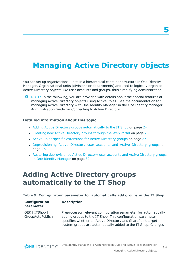## <span id="page-23-0"></span>**Managing Active Directory objects**

You can set up organizational units in a hierarchical container structure in One Identity Manager. Organizational units (divisions or departments) are used to logically organize Active Directory objects like user accounts and groups, thus simplifying administration.

6 NOTE: In the following, you are provided with details about the special features of managing Active Directory objects using Active Roles. See the documentation for managing Active Directory with One Identity Manager in the One Identity Manager Administration Guide for Connecting to Active Directory.

#### **Detailed information about this topic**

- Adding Active Directory groups [automatically](#page-23-1) to the IT Shop on page 24
- Creating new Active [Directory](#page-25-0) groups through the Web Portal on page 26
- Active Roles specific [extensions](#page-26-0) for Active Directory groups on page 27
- [Deprovisioning](#page-28-0) Active Directory user accounts and Active Directory groups on [page](#page-28-0) 29
- Restoring [deprovisioned](#page-31-0) Active Directory user accounts and Active Directory groups in One Identity [Manager](#page-31-0) on page 32

### <span id="page-23-1"></span>**Adding Active Directory groups automatically to the IT Shop**

#### **Table 9: Configuration parameter for automatically add groups in the IT Shop**

| Configuration<br>parameter         | <b>Description</b>                                                                                                                                                                                                                                             |
|------------------------------------|----------------------------------------------------------------------------------------------------------------------------------------------------------------------------------------------------------------------------------------------------------------|
| QER   ITShop  <br>GroupAutoPublish | Preprocessor relevant configuration parameter for automatically<br>adding groups to the IT Shop. This configuration parameter<br>specifies whether all Active Directory and SharePoint target<br>system groups are automatically added to the IT Shop. Changes |

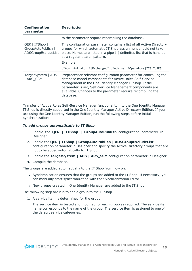| Configuration<br>parameter                                  | <b>Description</b>                                                                                                                                                                                                                                                                                                             |
|-------------------------------------------------------------|--------------------------------------------------------------------------------------------------------------------------------------------------------------------------------------------------------------------------------------------------------------------------------------------------------------------------------|
|                                                             | to the parameter require recompiling the database.                                                                                                                                                                                                                                                                             |
| QER   ITShop  <br>GroupAutoPublish  <br>ADSGroupExcludeList | This configuration parameter contains a list of all Active Directory<br>groups for which automatic IT Shop assignment should not take<br>place. Names are listed in a pipe ( ) delimited list that is handled<br>as a regular search pattern.<br>Example:<br>.*Administrator.* Exchange.* .*Admins .*Operators IIS IUSRS       |
| TargetSystem   ADS<br>  ARS SSM                             | Preprocessor relevant configuration parameter for controlling the<br>database model components for Active Roles Self-Service<br>Management in the One Identity Manager IT Shop. If the<br>parameter is set, Self-Service Management components are<br>available. Changes to the parameter require recompiling the<br>database. |

Transfer of Active Roles Self-Service Manager functionality into the One Identity Manager IT Shop is directly supported in the One Identity Manager Active Directory Edition. If you are using the One Identity Manager Edition, run the following steps before initial synchronization:

#### *To add groups automatically to IT Shop*

- 1. Enable the **QER | ITShop | GroupAutoPublish** configuration parameter in Designer.
- 2. Enable the **QER | ITShop | GroupAutoPublish | ADSGroupExcludeList** configuration parameter in Designer and specify the Active Directory groups that are not to be added automatically to IT Shop.
- 3. Enable the **TargetSystem | ADS | ARS\_SSM** configuration parameter in Designer
- 4. Compile the database.

The groups are added automatically to the IT Shop from now on.

- Synchronization ensures that the groups are added to the IT Shop. If necessary, you can manually start synchronization with the Synchronization Editor.
- New groups created in One Identity Manager are added to the IT Shop.

The following step are run to add a group to the IT Shop.

1. A service item is determined for the group.

The service item is tested and modified for each group as required. The service item name corresponds to the name of the group. The service item is assigned to one of the default service categories.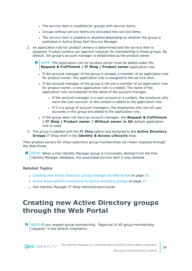- The service item is modified for groups with service items.
- Groups without service items are allocated new service items.
- The service item is enabled or disabled depending on whether the group is published in Active Roles Self-Service Manager.
- 2. An application role for product owners is determined and the service item is assigned. Product owners can approve requests for membership in these groups. By default, the group's account manager is established as the product owner.
	- **O** NOTE: The application role for product owner must be added under the **Request & Fulfillment | IT Shop | Product owner** application role.
		- If the account manager of the group is already a member of an application role for product owner, this application role is assigned to the service item.
		- If the account manager of the group is not yet a member of an application role for product owner, a new application role is created. The name of the application role corresponds to the name of the account manager.
			- If the account manager is a user account or a contact, the employee who owns the user account or the contact is added to the application role.
			- If it is a group of account managers, the employees who own all user accounts in this group are added to the application role.
		- <sup>l</sup> If the group does not have an account manager, the **Request & Fulfillment | IT Shop | Product owner | Without owner in AD** default application role is used.
- 3. The group is labeled with the **IT Shop** option and assigned to the **Active Directory Groups** IT Shop shelf in the **Identity & Access Lifecycle** shop.

Then product owners for shop customers group memberships can make requests through the Web Portal.

0 NOTE: When a One Identity Manager group is irrevocably deleted from the One Identity Manager database, the associated service item is also deleted.

#### **Related Topics**

- Creating new Active [Directory](#page-25-0) groups through the Web Portal on page 26
- Active Roles specific [extensions](#page-26-0) for Active Directory groups on page 27
- <span id="page-25-0"></span>• One Identity Manager IT Shop Administration Guide

## **Creating new Active Directory groups through the Web Portal**

 $\bigcirc$  NOTE: If you request group membership, "Approval of AD group membership requests" in the default installation.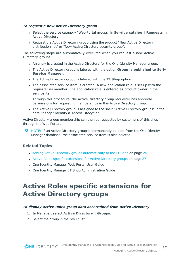#### *To request a new Active Directory group*

- <sup>l</sup> Select the service category "Web Portal groups" in **Service catalog | Requests** in Active Directory.
- Request the Active Directory group using the product "New Active Directory distribution list" or "New Active Directory security group".

The following steps are automatically executed when you request a new Active Directory groups:

- An entry is created in the Active Directory for the One Identity Manager group.
- <sup>l</sup> The Active Directory group is labeled with the option **Group is published to Self-Service Manager**.
- <sup>l</sup> The Active Directory group is labeled with the **IT Shop** option.
- The associated service item is created. A new application role is set up with the requester as member. The application role is entered as product owner in the service item.

Through this procedure, the Active Directory group requester has approval permissions for requesting memberships in this Active Directory group.

• The Active Directory group is assigned to the shelf "Active Directory groups" in the default shop "Identity & Access Lifecycle".

Active Directory group membership can then be requested by customers of this shop through the Web Portal.

**O** NOTE: If an Active Directory group is permanently deleted from the One Identity Manager database, the associated service item is also deleted.

#### **Related Topics**

- Adding Active Directory groups [automatically](#page-23-1) to the IT Shop on page 24
- Active Roles specific [extensions](#page-26-0) for Active Directory groups on page 27
- One Identity Manager Web Portal User Guide
- One Identity Manager IT Shop Administration Guide

## <span id="page-26-0"></span>**Active Roles specific extensions for Active Directory groups**

#### *To display Active Roles group data ascertained from Active Directory*

- 1. In Manager, select **Active Directory | Groups**.
- 2. Select the group in the result list.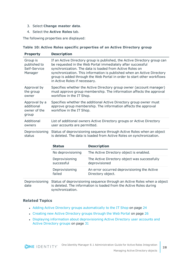- 3. Select **Change master data**.
- 4. Select the **Active Roles** tab.

The following properties are displayed:

|  |  | Table 10: Active Roles specific properties of an Active Directory group |  |  |
|--|--|-------------------------------------------------------------------------|--|--|
|  |  |                                                                         |  |  |

| <b>Property</b>                                      | <b>Description</b>                                                                                                                                                                                                                                                                                                                                                                          |
|------------------------------------------------------|---------------------------------------------------------------------------------------------------------------------------------------------------------------------------------------------------------------------------------------------------------------------------------------------------------------------------------------------------------------------------------------------|
| Group is<br>published to<br>Self-Service<br>Manager  | If an Active Directory group is published, the Active Directory group can<br>be requested in the Web Portal immediately after successful<br>synchronization. The data is loaded from Active Roles on<br>synchronization. This information is published when an Active Directory<br>group is added through the Web Portal in order to start other workflows<br>in Active Roles if necessary. |
| Approval by                                          | Specifies whether the Active Directory group owner (account manager)                                                                                                                                                                                                                                                                                                                        |
| the group                                            | must approve group membership. The information affects the approval                                                                                                                                                                                                                                                                                                                         |
| owner                                                | workflow in the IT Shop.                                                                                                                                                                                                                                                                                                                                                                    |
| Approval by a<br>additional<br>owner of the<br>group | Specifies whether the additional Active Directory group owner must<br>approve group membership. The information affects the approval<br>workflow in the IT Shop.                                                                                                                                                                                                                            |
| Additional                                           | List of additional owners Active Directory groups or Active Directory                                                                                                                                                                                                                                                                                                                       |
| owners                                               | user accounts are permitted.                                                                                                                                                                                                                                                                                                                                                                |
| Deprovisioning                                       | Status of deprovisioning sequence through Active Roles when an object                                                                                                                                                                                                                                                                                                                       |
| status                                               | is deleted. The data is loaded from Active Roles on synchronization.                                                                                                                                                                                                                                                                                                                        |

| <b>Status</b>                | <b>Description</b>                                               |
|------------------------------|------------------------------------------------------------------|
| No deprovisioning            | The Active Directory object is enabled.                          |
| Deprovisioning<br>successful | The Active Directory object was successfully<br>deprovisioned    |
| Deprovisioning<br>failed     | An error occurred deprovisioning the Active<br>Directory object. |
|                              |                                                                  |

Deprovisioning Status of deprovisioning sequence through an Active Roles when a object date is deleted. The information is loaded from the Active Roles during synchronization.

#### **Related Topics**

- Adding Active Directory groups [automatically](#page-23-1) to the IT Shop on page 24
- Creating new Active [Directory](#page-25-0) groups through the Web Portal on page 26
- Displaying information about [deprovisioning](#page-30-0) Active Directory user accounts and Active [Directory](#page-30-0) groups on page 31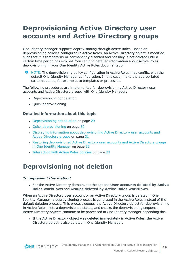## <span id="page-28-0"></span>**Deprovisioning Active Directory user accounts and Active Directory groups**

One Identity Manager supports deprovisioning through Active Roles. Based on deprovisioning policies configured in Active Roles, an Active Directory object is modified such that it is temporarily or permanently disabled and possibly is not deleted until a certain time period has expired. You can find detailed information about Active Roles deprovisioning in your One Identity Active Roles documentation.

6 NOTE: The deprovisioning policy configuration in Active Roles may conflict with the default One Identity Manager configuration. In this case, make the appropriated customizations, for example, to templates or processes.

The following procedures are implemented for deprovisioning Active Directory user accounts and Active Directory groups with One Identity Manager:

- Deprovisioning not deletion
- Ouick deprovisioning

#### **Detailed information about this topic**

- [Deprovisioning](#page-28-1) not deletion on page 29
- Quick [deprovisioning](#page-29-0) on page 30
- Displaying information about [deprovisioning](#page-30-0) Active Directory user accounts and Active [Directory](#page-30-0) groups on page 31
- Restoring [deprovisioned](#page-31-0) Active Directory user accounts and Active Directory groups in One Identity [Manager](#page-31-0) on page 32
- [Interaction](#page-22-0) with Active Roles policies on page 23

### <span id="page-28-1"></span>**Deprovisioning not deletion**

#### *To implement this method*

<sup>l</sup> For the Active Directory domain, set the options **User accounts deleted by Active Roles workflows** and **Groups deleted by Active Roles workflows**.

When an Active Directory user account or an Active Directory group is deleted in One Identity Manager, a deprovisioning process is generated in the Active Roles instead of the default deletion process. This process queues the Active Directory object for deprovisioning in Active Roles, sets a deprovisioned status, and checks the deprovisioning sequence. Active Directory objects continue to be processed in One Identity Manager depending this.

• If the Active Directory object was deleted immediately in Active Roles, the Active Directory object is also deleted in One Identity Manager.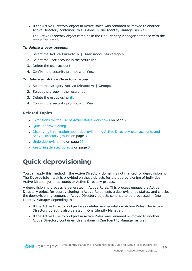If the Active Directory object in Active Roles was renamed or moved to another Active Directory container, this is done in One Identity Manager as well.

The Active Directory object remains in the One Identity Manager database with the status "deleted".

#### *To delete a user account*

- 1. Select the **Active Directory | User accounts** category.
- 2. Select the user account in the result list.
- 3. Delete the user account.
- 4. Confirm the security prompt with **Yes**.

#### *To delete an Active Directory group*

- 1. Select the category **Active Directory | Groups**.
- 2. Select the group in the result list.
- 3. Delete the group using  $\mathbf{\hat{x}}$ .
- 4. Confirm the security prompt with **Yes**.

#### **Related Topics**

- [Extensions](#page-19-0) for the use of Active Roles workflows on page 20
- Quick [deprovisioning](#page-29-0)
- Displaying information about [deprovisioning](#page-30-0) Active Directory user accounts and Active [Directory](#page-30-0) groups on page 31
- Undo [deprovisioning](#page-32-0) on page 33
- [Restoring](#page-33-0) deleted objects on page 34

### <span id="page-29-0"></span>**Quick deprovisioning**

You can apply this method if the Active Directory domain is not marked for deprovisioning. The **Deprovision** task is provided on these objects for the deprovisioning of individual Active Directoryuser accounts or Active Directory groups.

A deprovisioning process is generated in Active Roles. This process queues the Active Directory object for deprovisioning in Active Roles, sets a deprovisioned status, and checks the deprovisioning sequence. Active Directory objects continue to be processed in One Identity Manager depending this.

- <sup>l</sup> If the Active Directory object was deleted immediately in Active Roles, the Active Directory object is also deleted in One Identity Manager.
- If the Active Directory object in Active Roles was renamed or moved to another Active Directory container, this is done in One Identity Manager as well.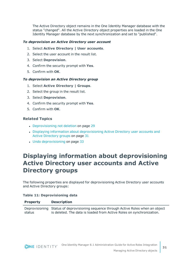The Active Directory object remains in the One Identity Manager database with the status "changed". All the Active Directory object properties are loaded in the One Identity Manager database by the next synchronization and set to "published".

#### *To deprovision an Active Directory user account*

- 1. Select **Active Directory | User accounts**.
- 2. Select the user account in the result list.
- 3. Select **Deprovision**.
- 4. Confirm the security prompt with **Yes**.
- 5. Confirm with **OK**.

#### *To deprovision an Active Directory group*

- 1. Select **Active Directory | Groups**.
- 2. Select the group in the result list.
- 3. Select **Deprovision**.
- 4. Confirm the security prompt with **Yes**.
- 5. Confirm with **OK**.

#### **Related Topics**

- [Deprovisioning](#page-28-1) not deletion on page 29
- Displaying information about [deprovisioning](#page-30-0) Active Directory user accounts and Active [Directory](#page-30-0) groups on page 31
- Undo [deprovisioning](#page-32-0) on page 33

### <span id="page-30-0"></span>**Displaying information about deprovisioning Active Directory user accounts and Active Directory groups**

The following properties are displayed for deprovisioning Active Directory user accounts and Active Directory groups:

#### **Table 11: Deprovisioning data**

| <b>Property</b> | <b>Description</b>                                                                   |
|-----------------|--------------------------------------------------------------------------------------|
|                 | Deprovisioning Status of deprovisioning sequence through Active Roles when an object |
| status          | is deleted. The data is loaded from Active Roles on synchronization.                 |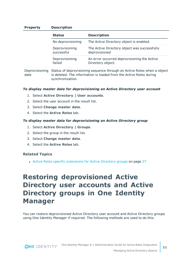#### **Property Description**

| <b>Status</b>     | <b>Description</b>                           |
|-------------------|----------------------------------------------|
| No deprovisioning | The Active Directory object is enabled.      |
| Deprovisioning    | The Active Directory object was successfully |
| successful        | deprovisioned                                |
| Deprovisioning    | An error occurred deprovisioning the Active  |
| failed            | Directory object.                            |

Deprovisioning Status of deprovisioning sequence through an Active Roles when a object date is deleted. The information is loaded from the Active Roles during synchronization.

#### *To display master data for deprovisioning an Active Directory user account*

- 1. Select **Active Directory | User accounts**.
- 2. Select the user account in the result list.
- 3. Select **Change master data**.
- 4. Select the **Active Roles** tab.

#### *To display master data for deprovisioning an Active Directory group*

- 1. Select **Active Directory | Groups**.
- 2. Select the group in the result list.
- 3. Select **Change master data**.
- 4. Select the **Active Roles** tab.

#### **Related Topics**

<span id="page-31-0"></span>• Active Roles specific [extensions](#page-26-0) for Active Directory groups on page 27

## **Restoring deprovisioned Active Directory user accounts and Active Directory groups in One Identity Manager**

You can restore deprovisioned Active Directory user account and Active Directory groups using One Identity Manager if required. The following methods are used to do this: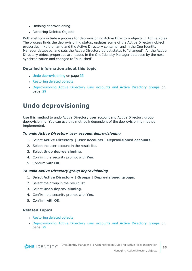- Undoing deprovisioning
- Restoring Deleted Objects

Both methods initiate a process for deprovisioning Active Directory objects in Active Roles. The process finds the deprovisioning status, updates some of the Active Directory object properties, like the name and the Active Directory container and in the One Identity Manager database, and sets the Active Directory object status to "changed". All the Active Directory object properties are loaded in the One Identity Manager database by the next synchronization and changed to "published".

#### **Detailed information about this topic**

- $\cdot$  Undo [deprovisioning](#page-32-0) on page 33
- [Restoring](#page-33-0) deleted objects
- [Deprovisioning](#page-28-0) Active Directory user accounts and Active Directory groups on [page](#page-28-0) 29

### <span id="page-32-0"></span>**Undo deprovisioning**

Use this method to undo Active Directory user account and Active Directory group deprovisioning. You can use this method independent of the deprovisioning method implemented.

#### *To undo Active Directory user account deprovisioning*

- 1. Select **Active Directory | User accounts | Deprovisioned accounts.**
- 2. Select the user account in the result list.
- 3. Select **Undo deprovisioning**.
- 4. Confirm the security prompt with **Yes**.
- 5. Confirm with **OK**.

#### *To undo Active Directory group deprovisioning*

- 1. Select **Active Directory | Groups | Deprovisioned groups**.
- 2. Select the group in the result list.
- 3. Select **Undo deprovisioning**.
- 4. Confirm the security prompt with **Yes**.
- 5. Confirm with **OK**.

#### **Related Topics**

- [Restoring](#page-33-0) deleted objects
- [Deprovisioning](#page-28-0) Active Directory user accounts and Active Directory groups on [page](#page-28-0) 29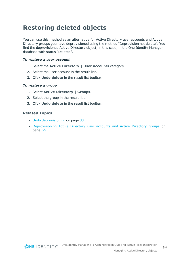### <span id="page-33-0"></span>**Restoring deleted objects**

You can use this method as an alternative for Active Directory user accounts and Active Directory groups you have deprovisioned using the method "Deprovision not delete". You find the deprovisioned Active Directory object, in this case, in the One Identity Manager database with status "Deleted".

#### *To restore a user account*

- 1. Select the **Active Directory | User accounts** category.
- 2. Select the user account in the result list.
- 3. Click **Undo delete** in the result list toolbar.

#### *To restore a group*

- 1. Select **Active Directory | Groups**.
- 2. Select the group in the result list.
- 3. Click **Undo delete** in the result list toolbar.

#### **Related Topics**

- Undo [deprovisioning](#page-32-0) on page 33
- [Deprovisioning](#page-28-0) Active Directory user accounts and Active Directory groups on [page](#page-28-0) 29

**34**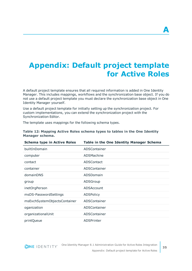# <span id="page-34-0"></span>**Appendix: Default project template for Active Roles**

A default project template ensures that all required information is added in One Identity Manager. This includes mappings, workflows and the synchronization base object. If you do not use a default project template you must declare the synchronization base object in One Identity Manager yourself.

Use a default project template for initially setting up the synchronization project. For custom implementations, you can extend the synchronization project with the Synchronization Editor.

The template uses mappings for the following schema types.

| <b>Schema type in Active Roles</b> | Table in the One Identity Manager Schema |
|------------------------------------|------------------------------------------|
| builtInDomain                      | ADSContainer                             |
| computer                           | ADSMachine                               |
| contact                            | ADSContact                               |
| container                          | ADSContainer                             |
| domainDNS                          | ADSDomain                                |
| group                              | ADSGroup                                 |
| inetOrgPerson                      | ADSAccount                               |
| msDS-PasswordSettings              | <b>ADSPolicy</b>                         |
| msExchSystemObjectsContainer       | ADSContainer                             |
| oganization                        | ADSContainer                             |
| organizationalUnit                 | ADSContainer                             |
| printQueue                         | <b>ADSPrinter</b>                        |

#### **Table 12: Mapping Active Roles schema types to tables in the One Identity Manager schema.**

**ONE IDENTITY**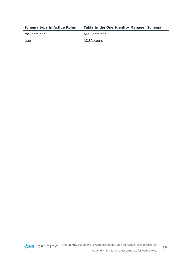| <b>Schema type in Active Roles</b> | Table in the One Identity Manager Schema |
|------------------------------------|------------------------------------------|
| rpcContainer                       | ADSContainer                             |
| user                               | ADSAccount                               |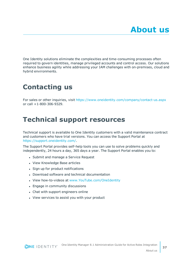<span id="page-36-0"></span>One Identity solutions eliminate the complexities and time-consuming processes often required to govern identities, manage privileged accounts and control access. Our solutions enhance business agility while addressing your IAM challenges with on-premises, cloud and hybrid environments.

## <span id="page-36-1"></span>**Contacting us**

For sales or other inquiries, visit <https://www.oneidentity.com/company/contact-us.aspx> or call +1-800-306-9329.

## <span id="page-36-2"></span>**Technical support resources**

Technical support is available to One Identity customers with a valid maintenance contract and customers who have trial versions. You can access the Support Portal at [https://support.oneidentity.com/.](https://support.oneidentity.com/)

The Support Portal provides self-help tools you can use to solve problems quickly and independently, 24 hours a day, 365 days a year. The Support Portal enables you to:

- Submit and manage a Service Request
- View Knowledge Base articles
- Sign up for product notifications
- Download software and technical documentation
- View how-to-videos at [www.YouTube.com/OneIdentity](http://www.youtube.com/OneIdentity)
- Engage in community discussions
- Chat with support engineers online
- View services to assist you with your product

**37**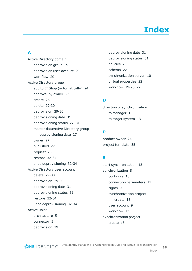# **Index**

### <span id="page-37-0"></span>**A**

Active Directory domain deprovision group [29](#page-28-0) deprovision user account [29](#page-28-0) workflow [20](#page-19-0) Active Directory group add to IT Shop (automatically) [24](#page-23-1) approval by owner [27](#page-26-0) create [26](#page-25-0) delete [29-30](#page-28-1) deprovision [29-30](#page-28-0) deprovisioning date [31](#page-30-0) deprovisioning status [27](#page-26-0), [31](#page-30-0) master dataActive Directory group deprovisioning date [27](#page-26-0) owner [27](#page-26-0) published [27](#page-26-0) request [26](#page-25-0) restore [32-34](#page-31-0) undo deprovisioning [32-34](#page-31-0) Active Directory user account delete [29-30](#page-28-1) deprovision [29-30](#page-28-0) deprovisioning date [31](#page-30-0) deprovisioning status [31](#page-30-0) restore [32-34](#page-31-0) undo deprovisioning [32-34](#page-31-0) Active Roles architecture [5](#page-4-1) connector [5](#page-4-1) deprovision [29](#page-28-0)

deprovisioning date [31](#page-30-0) deprovisioning status [31](#page-30-0) policies [23](#page-22-0) schema [22](#page-21-1) synchronization server [10](#page-9-0) virtual properties [22](#page-21-1) workflow [19-20](#page-18-0), [22](#page-21-0)

### **D**

direction of synchronization to Manager [13](#page-12-0) to target system [13](#page-12-0)

### **P**

product owner [24](#page-23-1) project template [35](#page-34-0)

### **S**

start synchronization [13](#page-12-0) synchronization [8](#page-7-0) configure [13](#page-12-0) connection parameters [13](#page-12-0) rights [9](#page-8-0) synchronization project create [13](#page-12-0) user account [9](#page-8-0) workflow [13](#page-12-0) synchronization project create [13](#page-12-0)

Index